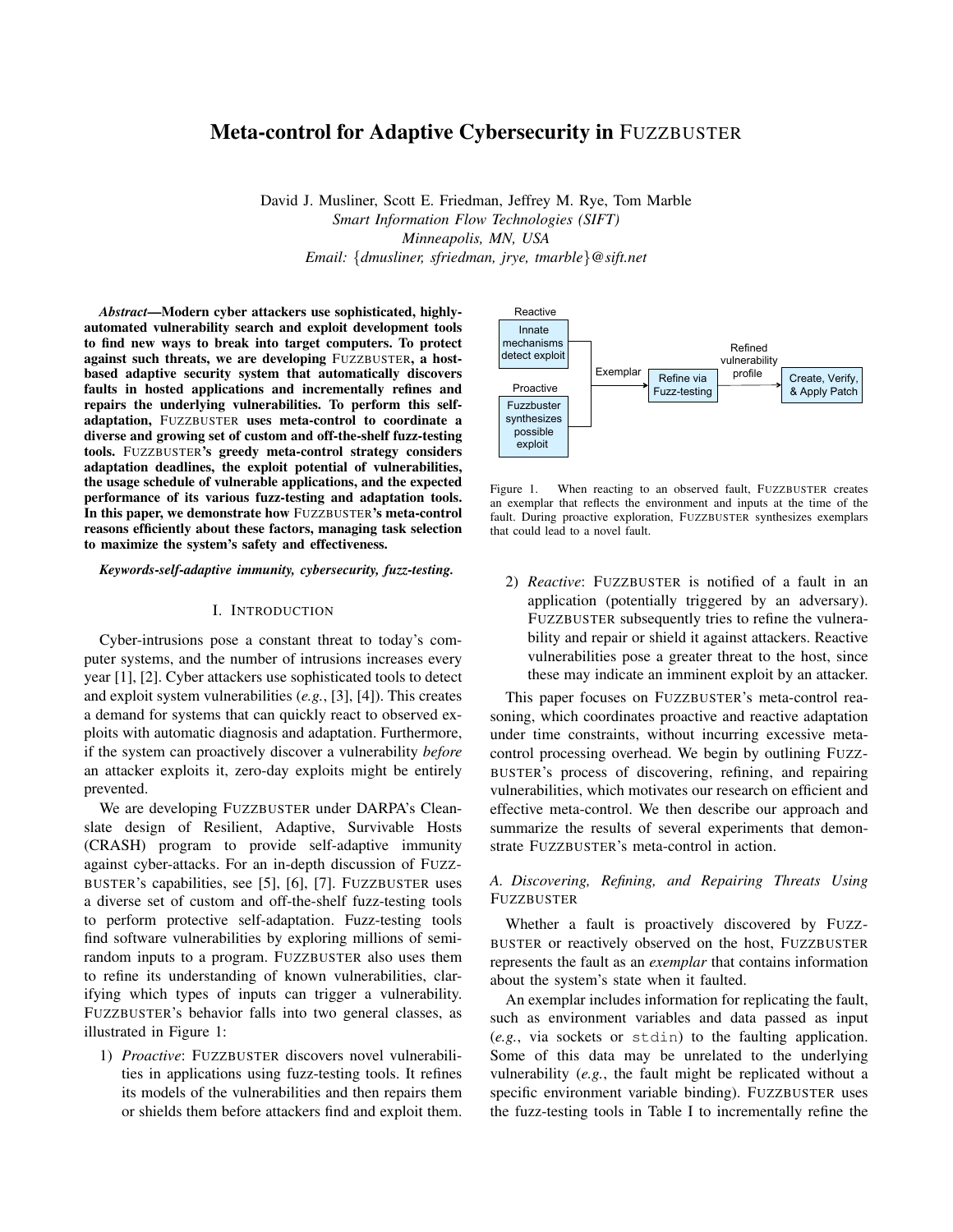# Meta-control for Adaptive Cybersecurity in FUZZBUSTER

David J. Musliner, Scott E. Friedman, Jeffrey M. Rye, Tom Marble *Smart Information Flow Technologies (SIFT) Minneapolis, MN, USA Email:* {*dmusliner, sfriedman, jrye, tmarble*}*@sift.net*

*Abstract*—Modern cyber attackers use sophisticated, highlyautomated vulnerability search and exploit development tools to find new ways to break into target computers. To protect against such threats, we are developing FUZZBUSTER, a hostbased adaptive security system that automatically discovers faults in hosted applications and incrementally refines and repairs the underlying vulnerabilities. To perform this selfadaptation, FUZZBUSTER uses meta-control to coordinate a diverse and growing set of custom and off-the-shelf fuzz-testing tools. FUZZBUSTER's greedy meta-control strategy considers adaptation deadlines, the exploit potential of vulnerabilities, the usage schedule of vulnerable applications, and the expected performance of its various fuzz-testing and adaptation tools. In this paper, we demonstrate how FUZZBUSTER's meta-control reasons efficiently about these factors, managing task selection to maximize the system's safety and effectiveness.

#### *Keywords*-*self-adaptive immunity, cybersecurity, fuzz-testing.*

#### I. INTRODUCTION

Cyber-intrusions pose a constant threat to today's computer systems, and the number of intrusions increases every year [1], [2]. Cyber attackers use sophisticated tools to detect and exploit system vulnerabilities (*e.g.*, [3], [4]). This creates a demand for systems that can quickly react to observed exploits with automatic diagnosis and adaptation. Furthermore, if the system can proactively discover a vulnerability *before* an attacker exploits it, zero-day exploits might be entirely prevented.

We are developing FUZZBUSTER under DARPA's Cleanslate design of Resilient, Adaptive, Survivable Hosts (CRASH) program to provide self-adaptive immunity against cyber-attacks. For an in-depth discussion of FUZZ-BUSTER's capabilities, see [5], [6], [7]. FUZZBUSTER uses a diverse set of custom and off-the-shelf fuzz-testing tools to perform protective self-adaptation. Fuzz-testing tools find software vulnerabilities by exploring millions of semirandom inputs to a program. FUZZBUSTER also uses them to refine its understanding of known vulnerabilities, clarifying which types of inputs can trigger a vulnerability. FUZZBUSTER's behavior falls into two general classes, as illustrated in Figure 1:

1) *Proactive*: FUZZBUSTER discovers novel vulnerabilities in applications using fuzz-testing tools. It refines its models of the vulnerabilities and then repairs them or shields them before attackers find and exploit them.



Figure 1. When reacting to an observed fault, FUZZBUSTER creates an exemplar that reflects the environment and inputs at the time of the fault. During proactive exploration, FUZZBUSTER synthesizes exemplars that could lead to a novel fault.

2) *Reactive*: FUZZBUSTER is notified of a fault in an application (potentially triggered by an adversary). FUZZBUSTER subsequently tries to refine the vulnerability and repair or shield it against attackers. Reactive vulnerabilities pose a greater threat to the host, since these may indicate an imminent exploit by an attacker.

This paper focuses on FUZZBUSTER's meta-control reasoning, which coordinates proactive and reactive adaptation under time constraints, without incurring excessive metacontrol processing overhead. We begin by outlining FUZZ-BUSTER's process of discovering, refining, and repairing vulnerabilities, which motivates our research on efficient and effective meta-control. We then describe our approach and summarize the results of several experiments that demonstrate FUZZBUSTER's meta-control in action.

## *A. Discovering, Refining, and Repairing Threats Using* FUZZBUSTER

Whether a fault is proactively discovered by FUZZ-BUSTER or reactively observed on the host, FUZZBUSTER represents the fault as an *exemplar* that contains information about the system's state when it faulted.

An exemplar includes information for replicating the fault, such as environment variables and data passed as input (*e.g.*, via sockets or stdin) to the faulting application. Some of this data may be unrelated to the underlying vulnerability (*e.g.*, the fault might be replicated without a specific environment variable binding). FUZZBUSTER uses the fuzz-testing tools in Table I to incrementally refine the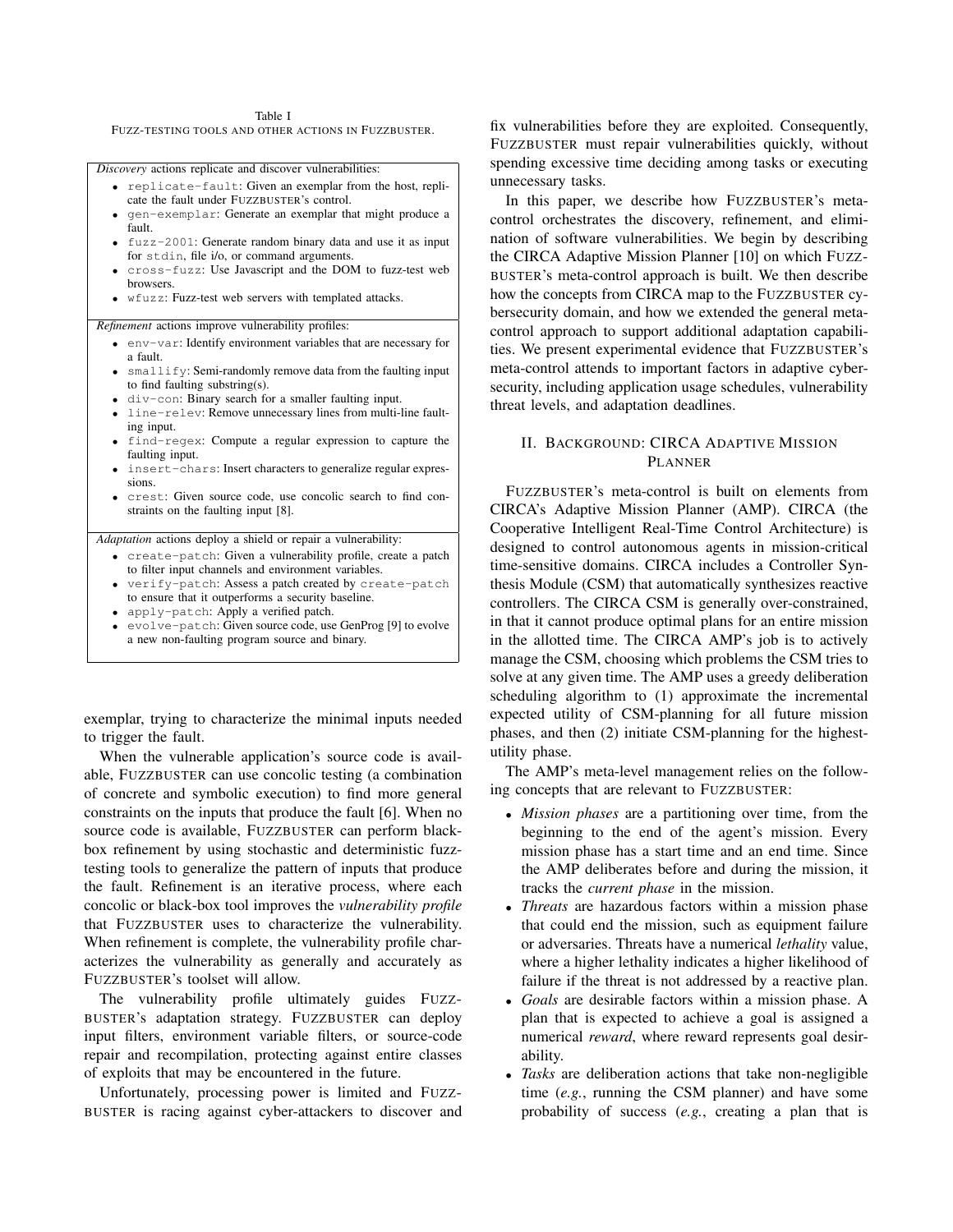| Table I                                             |  |  |  |  |  |  |
|-----------------------------------------------------|--|--|--|--|--|--|
| FUZZ-TESTING TOOLS AND OTHER ACTIONS IN FUZZBUSTER. |  |  |  |  |  |  |

*Discovery* actions replicate and discover vulnerabilities:

- replicate-fault: Given an exemplar from the host, replicate the fault under FUZZBUSTER's control.
- gen-exemplar: Generate an exemplar that might produce a fault.
- fuzz-2001: Generate random binary data and use it as input for stdin, file i/o, or command arguments.
- cross-fuzz: Use Javascript and the DOM to fuzz-test web browsers.
- wfuzz: Fuzz-test web servers with templated attacks.

*Refinement* actions improve vulnerability profiles:

- env-var: Identify environment variables that are necessary for a fault.
- smallify: Semi-randomly remove data from the faulting input to find faulting substring(s).
- div-con: Binary search for a smaller faulting input.
- line-relev: Remove unnecessary lines from multi-line faulting input.
- find-regex: Compute a regular expression to capture the faulting input.
- insert-chars: Insert characters to generalize regular expressions.
- crest: Given source code, use concolic search to find constraints on the faulting input [8].

*Adaptation* actions deploy a shield or repair a vulnerability:

- create-patch: Given a vulnerability profile, create a patch to filter input channels and environment variables.
- verify-patch: Assess a patch created by create-patch to ensure that it outperforms a security baseline.
- apply-patch: Apply a verified patch.
- evolve-patch: Given source code, use GenProg [9] to evolve a new non-faulting program source and binary.

exemplar, trying to characterize the minimal inputs needed to trigger the fault.

When the vulnerable application's source code is available, FUZZBUSTER can use concolic testing (a combination of concrete and symbolic execution) to find more general constraints on the inputs that produce the fault [6]. When no source code is available, FUZZBUSTER can perform blackbox refinement by using stochastic and deterministic fuzztesting tools to generalize the pattern of inputs that produce the fault. Refinement is an iterative process, where each concolic or black-box tool improves the *vulnerability profile* that FUZZBUSTER uses to characterize the vulnerability. When refinement is complete, the vulnerability profile characterizes the vulnerability as generally and accurately as FUZZBUSTER's toolset will allow.

The vulnerability profile ultimately guides FUZZ-BUSTER's adaptation strategy. FUZZBUSTER can deploy input filters, environment variable filters, or source-code repair and recompilation, protecting against entire classes of exploits that may be encountered in the future.

Unfortunately, processing power is limited and FUZZ-BUSTER is racing against cyber-attackers to discover and fix vulnerabilities before they are exploited. Consequently, FUZZBUSTER must repair vulnerabilities quickly, without spending excessive time deciding among tasks or executing unnecessary tasks.

In this paper, we describe how FUZZBUSTER's metacontrol orchestrates the discovery, refinement, and elimination of software vulnerabilities. We begin by describing the CIRCA Adaptive Mission Planner [10] on which FUZZ-BUSTER's meta-control approach is built. We then describe how the concepts from CIRCA map to the FUZZBUSTER cybersecurity domain, and how we extended the general metacontrol approach to support additional adaptation capabilities. We present experimental evidence that FUZZBUSTER's meta-control attends to important factors in adaptive cybersecurity, including application usage schedules, vulnerability threat levels, and adaptation deadlines.

## II. BACKGROUND: CIRCA ADAPTIVE MISSION PLANNER

FUZZBUSTER's meta-control is built on elements from CIRCA's Adaptive Mission Planner (AMP). CIRCA (the Cooperative Intelligent Real-Time Control Architecture) is designed to control autonomous agents in mission-critical time-sensitive domains. CIRCA includes a Controller Synthesis Module (CSM) that automatically synthesizes reactive controllers. The CIRCA CSM is generally over-constrained, in that it cannot produce optimal plans for an entire mission in the allotted time. The CIRCA AMP's job is to actively manage the CSM, choosing which problems the CSM tries to solve at any given time. The AMP uses a greedy deliberation scheduling algorithm to (1) approximate the incremental expected utility of CSM-planning for all future mission phases, and then (2) initiate CSM-planning for the highestutility phase.

The AMP's meta-level management relies on the following concepts that are relevant to FUZZBUSTER:

- *Mission phases* are a partitioning over time, from the beginning to the end of the agent's mission. Every mission phase has a start time and an end time. Since the AMP deliberates before and during the mission, it tracks the *current phase* in the mission.
- *Threats* are hazardous factors within a mission phase that could end the mission, such as equipment failure or adversaries. Threats have a numerical *lethality* value, where a higher lethality indicates a higher likelihood of failure if the threat is not addressed by a reactive plan.
- *Goals* are desirable factors within a mission phase. A plan that is expected to achieve a goal is assigned a numerical *reward*, where reward represents goal desirability.
- *Tasks* are deliberation actions that take non-negligible time (*e.g.*, running the CSM planner) and have some probability of success (*e.g.*, creating a plan that is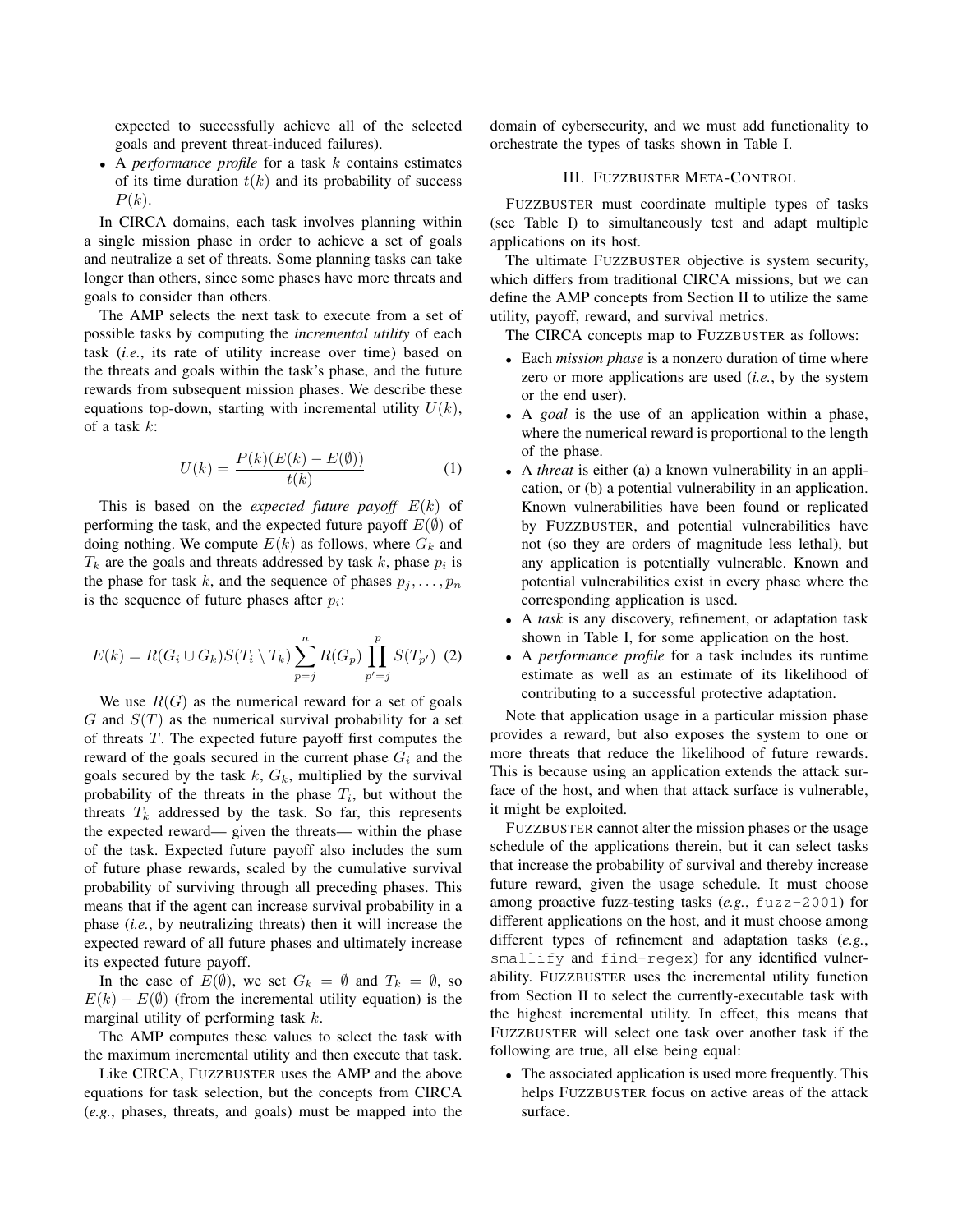expected to successfully achieve all of the selected goals and prevent threat-induced failures).

• A *performance profile* for a task k contains estimates of its time duration  $t(k)$  and its probability of success  $P(k).$ 

In CIRCA domains, each task involves planning within a single mission phase in order to achieve a set of goals and neutralize a set of threats. Some planning tasks can take longer than others, since some phases have more threats and goals to consider than others.

The AMP selects the next task to execute from a set of possible tasks by computing the *incremental utility* of each task (*i.e.*, its rate of utility increase over time) based on the threats and goals within the task's phase, and the future rewards from subsequent mission phases. We describe these equations top-down, starting with incremental utility  $U(k)$ , of a task k:

$$
U(k) = \frac{P(k)(E(k) - E(\emptyset))}{t(k)}
$$
 (1)

This is based on the *expected future payoff*  $E(k)$  of performing the task, and the expected future payoff  $E(\emptyset)$  of doing nothing. We compute  $E(k)$  as follows, where  $G_k$  and  $T_k$  are the goals and threats addressed by task k, phase  $p_i$  is the phase for task k, and the sequence of phases  $p_j, \ldots, p_n$ is the sequence of future phases after  $p_i$ :

$$
E(k) = R(G_i \cup G_k)S(T_i \setminus T_k) \sum_{p=j}^{n} R(G_p) \prod_{p'=j}^{p} S(T_{p'}) \tag{2}
$$

We use  $R(G)$  as the numerical reward for a set of goals  $G$  and  $S(T)$  as the numerical survival probability for a set of threats T. The expected future payoff first computes the reward of the goals secured in the current phase  $G_i$  and the goals secured by the task  $k$ ,  $G_k$ , multiplied by the survival probability of the threats in the phase  $T_i$ , but without the threats  $T_k$  addressed by the task. So far, this represents the expected reward— given the threats— within the phase of the task. Expected future payoff also includes the sum of future phase rewards, scaled by the cumulative survival probability of surviving through all preceding phases. This means that if the agent can increase survival probability in a phase (*i.e.*, by neutralizing threats) then it will increase the expected reward of all future phases and ultimately increase its expected future payoff.

In the case of  $E(\emptyset)$ , we set  $G_k = \emptyset$  and  $T_k = \emptyset$ , so  $E(k) - E(\emptyset)$  (from the incremental utility equation) is the marginal utility of performing task  $k$ .

The AMP computes these values to select the task with the maximum incremental utility and then execute that task.

Like CIRCA, FUZZBUSTER uses the AMP and the above equations for task selection, but the concepts from CIRCA (*e.g.*, phases, threats, and goals) must be mapped into the domain of cybersecurity, and we must add functionality to orchestrate the types of tasks shown in Table I.

## III. FUZZBUSTER META-CONTROL

FUZZBUSTER must coordinate multiple types of tasks (see Table I) to simultaneously test and adapt multiple applications on its host.

The ultimate FUZZBUSTER objective is system security, which differs from traditional CIRCA missions, but we can define the AMP concepts from Section II to utilize the same utility, payoff, reward, and survival metrics.

The CIRCA concepts map to FUZZBUSTER as follows:

- Each *mission phase* is a nonzero duration of time where zero or more applications are used (*i.e.*, by the system or the end user).
- A *goal* is the use of an application within a phase, where the numerical reward is proportional to the length of the phase.
- A *threat* is either (a) a known vulnerability in an application, or (b) a potential vulnerability in an application. Known vulnerabilities have been found or replicated by FUZZBUSTER, and potential vulnerabilities have not (so they are orders of magnitude less lethal), but any application is potentially vulnerable. Known and potential vulnerabilities exist in every phase where the corresponding application is used.
- A *task* is any discovery, refinement, or adaptation task shown in Table I, for some application on the host.
- A *performance profile* for a task includes its runtime estimate as well as an estimate of its likelihood of contributing to a successful protective adaptation.

Note that application usage in a particular mission phase provides a reward, but also exposes the system to one or more threats that reduce the likelihood of future rewards. This is because using an application extends the attack surface of the host, and when that attack surface is vulnerable, it might be exploited.

FUZZBUSTER cannot alter the mission phases or the usage schedule of the applications therein, but it can select tasks that increase the probability of survival and thereby increase future reward, given the usage schedule. It must choose among proactive fuzz-testing tasks (*e.g.*, fuzz-2001) for different applications on the host, and it must choose among different types of refinement and adaptation tasks (*e.g.*, smallify and find-regex) for any identified vulnerability. FUZZBUSTER uses the incremental utility function from Section II to select the currently-executable task with the highest incremental utility. In effect, this means that FUZZBUSTER will select one task over another task if the following are true, all else being equal:

• The associated application is used more frequently. This helps FUZZBUSTER focus on active areas of the attack surface.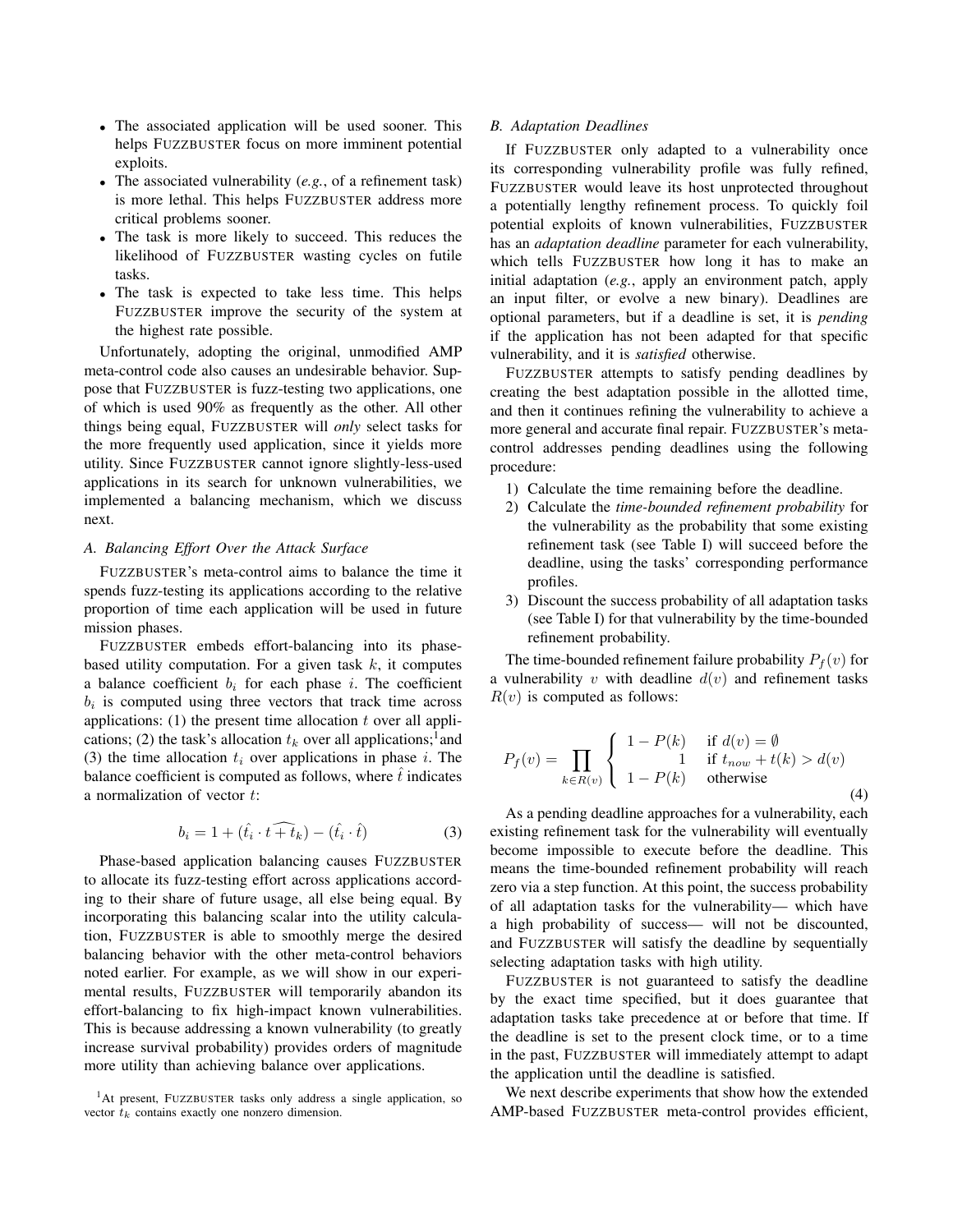- The associated application will be used sooner. This helps FUZZBUSTER focus on more imminent potential exploits.
- The associated vulnerability (*e.g.*, of a refinement task) is more lethal. This helps FUZZBUSTER address more critical problems sooner.
- The task is more likely to succeed. This reduces the likelihood of FUZZBUSTER wasting cycles on futile tasks.
- The task is expected to take less time. This helps FUZZBUSTER improve the security of the system at the highest rate possible.

Unfortunately, adopting the original, unmodified AMP meta-control code also causes an undesirable behavior. Suppose that FUZZBUSTER is fuzz-testing two applications, one of which is used 90% as frequently as the other. All other things being equal, FUZZBUSTER will *only* select tasks for the more frequently used application, since it yields more utility. Since FUZZBUSTER cannot ignore slightly-less-used applications in its search for unknown vulnerabilities, we implemented a balancing mechanism, which we discuss next.

#### *A. Balancing Effort Over the Attack Surface*

FUZZBUSTER's meta-control aims to balance the time it spends fuzz-testing its applications according to the relative proportion of time each application will be used in future mission phases.

FUZZBUSTER embeds effort-balancing into its phasebased utility computation. For a given task  $k$ , it computes a balance coefficient  $b_i$  for each phase i. The coefficient  $b_i$  is computed using three vectors that track time across applications: (1) the present time allocation  $t$  over all applications; (2) the task's allocation  $t_k$  over all applications;<sup>1</sup> and (3) the time allocation  $t_i$  over applications in phase i. The balance coefficient is computed as follows, where  $\hat{t}$  indicates a normalization of vector t:

$$
b_i = 1 + (\hat{t}_i \cdot t + \hat{t}_k) - (\hat{t}_i \cdot \hat{t})
$$
\n(3)

Phase-based application balancing causes FUZZBUSTER to allocate its fuzz-testing effort across applications according to their share of future usage, all else being equal. By incorporating this balancing scalar into the utility calculation, FUZZBUSTER is able to smoothly merge the desired balancing behavior with the other meta-control behaviors noted earlier. For example, as we will show in our experimental results, FUZZBUSTER will temporarily abandon its effort-balancing to fix high-impact known vulnerabilities. This is because addressing a known vulnerability (to greatly increase survival probability) provides orders of magnitude more utility than achieving balance over applications.

#### *B. Adaptation Deadlines*

If FUZZBUSTER only adapted to a vulnerability once its corresponding vulnerability profile was fully refined, FUZZBUSTER would leave its host unprotected throughout a potentially lengthy refinement process. To quickly foil potential exploits of known vulnerabilities, FUZZBUSTER has an *adaptation deadline* parameter for each vulnerability, which tells FUZZBUSTER how long it has to make an initial adaptation (*e.g.*, apply an environment patch, apply an input filter, or evolve a new binary). Deadlines are optional parameters, but if a deadline is set, it is *pending* if the application has not been adapted for that specific vulnerability, and it is *satisfied* otherwise.

FUZZBUSTER attempts to satisfy pending deadlines by creating the best adaptation possible in the allotted time, and then it continues refining the vulnerability to achieve a more general and accurate final repair. FUZZBUSTER's metacontrol addresses pending deadlines using the following procedure:

- 1) Calculate the time remaining before the deadline.
- 2) Calculate the *time-bounded refinement probability* for the vulnerability as the probability that some existing refinement task (see Table I) will succeed before the deadline, using the tasks' corresponding performance profiles.
- 3) Discount the success probability of all adaptation tasks (see Table I) for that vulnerability by the time-bounded refinement probability.

The time-bounded refinement failure probability  $P_f(v)$  for a vulnerability v with deadline  $d(v)$  and refinement tasks  $R(v)$  is computed as follows:

$$
P_f(v) = \prod_{k \in R(v)} \begin{cases} 1 - P(k) & \text{if } d(v) = \emptyset \\ 1 & \text{if } t_{now} + t(k) > d(v) \\ 1 - P(k) & \text{otherwise} \end{cases}
$$
(4)

As a pending deadline approaches for a vulnerability, each existing refinement task for the vulnerability will eventually become impossible to execute before the deadline. This means the time-bounded refinement probability will reach zero via a step function. At this point, the success probability of all adaptation tasks for the vulnerability— which have a high probability of success— will not be discounted, and FUZZBUSTER will satisfy the deadline by sequentially selecting adaptation tasks with high utility.

FUZZBUSTER is not guaranteed to satisfy the deadline by the exact time specified, but it does guarantee that adaptation tasks take precedence at or before that time. If the deadline is set to the present clock time, or to a time in the past, FUZZBUSTER will immediately attempt to adapt the application until the deadline is satisfied.

We next describe experiments that show how the extended AMP-based FUZZBUSTER meta-control provides efficient,

<sup>&</sup>lt;sup>1</sup>At present, FUZZBUSTER tasks only address a single application, so vector  $t_k$  contains exactly one nonzero dimension.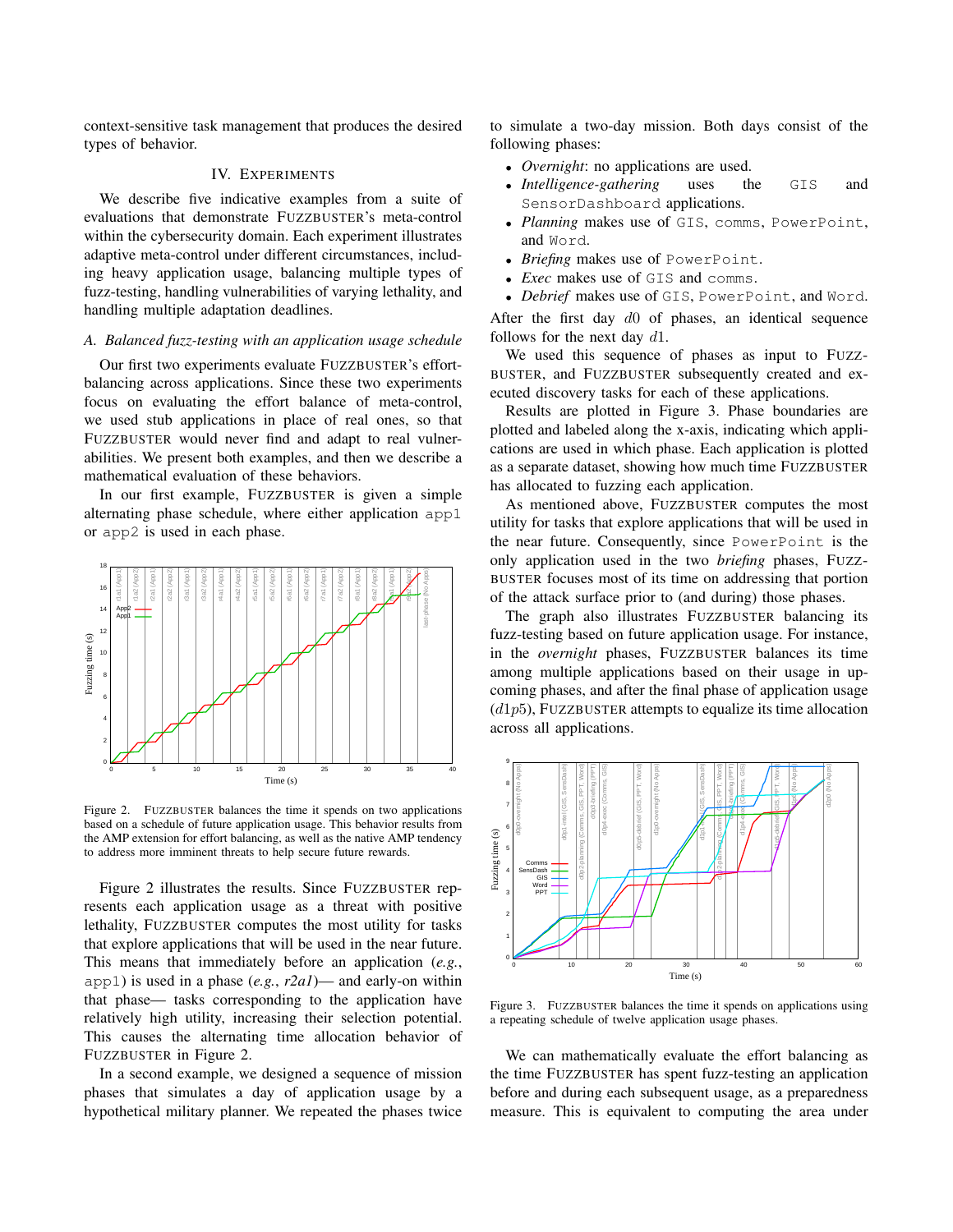context-sensitive task management that produces the desired types of behavior.

#### IV. EXPERIMENTS

We describe five indicative examples from a suite of evaluations that demonstrate FUZZBUSTER's meta-control within the cybersecurity domain. Each experiment illustrates adaptive meta-control under different circumstances, including heavy application usage, balancing multiple types of fuzz-testing, handling vulnerabilities of varying lethality, and handling multiple adaptation deadlines.

#### *A. Balanced fuzz-testing with an application usage schedule*

Our first two experiments evaluate FUZZBUSTER's effortbalancing across applications. Since these two experiments focus on evaluating the effort balance of meta-control, we used stub applications in place of real ones, so that FUZZBUSTER would never find and adapt to real vulnerabilities. We present both examples, and then we describe a mathematical evaluation of these behaviors.

In our first example, FUZZBUSTER is given a simple alternating phase schedule, where either application app1 or app2 is used in each phase.



Figure 2. FUZZBUSTER balances the time it spends on two applications based on a schedule of future application usage. This behavior results from the AMP extension for effort balancing, as well as the native AMP tendency to address more imminent threats to help secure future rewards.

Figure 2 illustrates the results. Since FUZZBUSTER represents each application usage as a threat with positive lethality, FUZZBUSTER computes the most utility for tasks that explore applications that will be used in the near future. This means that immediately before an application (*e.g.*, app1) is used in a phase (*e.g.*, *r2a1*)— and early-on within that phase— tasks corresponding to the application have relatively high utility, increasing their selection potential. This causes the alternating time allocation behavior of FUZZBUSTER in Figure 2.

In a second example, we designed a sequence of mission phases that simulates a day of application usage by a hypothetical military planner. We repeated the phases twice to simulate a two-day mission. Both days consist of the following phases:

- *Overnight*: no applications are used.
- *Intelligence-gathering* uses the GIS and SensorDashboard applications.
- *Planning* makes use of GIS, comms, PowerPoint, and Word.
- *Briefing* makes use of PowerPoint.
- *Exec* makes use of GIS and comms.
- *Debrief* makes use of GIS, PowerPoint, and Word.

After the first day  $d0$  of phases, an identical sequence follows for the next day d1.

We used this sequence of phases as input to FUZZ-BUSTER, and FUZZBUSTER subsequently created and executed discovery tasks for each of these applications.

Results are plotted in Figure 3. Phase boundaries are plotted and labeled along the x-axis, indicating which applications are used in which phase. Each application is plotted as a separate dataset, showing how much time FUZZBUSTER has allocated to fuzzing each application.

As mentioned above, FUZZBUSTER computes the most utility for tasks that explore applications that will be used in the near future. Consequently, since PowerPoint is the only application used in the two *briefing* phases, FUZZ-BUSTER focuses most of its time on addressing that portion of the attack surface prior to (and during) those phases.

The graph also illustrates FUZZBUSTER balancing its fuzz-testing based on future application usage. For instance, in the *overnight* phases, FUZZBUSTER balances its time among multiple applications based on their usage in upcoming phases, and after the final phase of application usage  $(d1p5)$ , FUZZBUSTER attempts to equalize its time allocation across all applications.



Figure 3. FUZZBUSTER balances the time it spends on applications using a repeating schedule of twelve application usage phases.

We can mathematically evaluate the effort balancing as the time FUZZBUSTER has spent fuzz-testing an application before and during each subsequent usage, as a preparedness measure. This is equivalent to computing the area under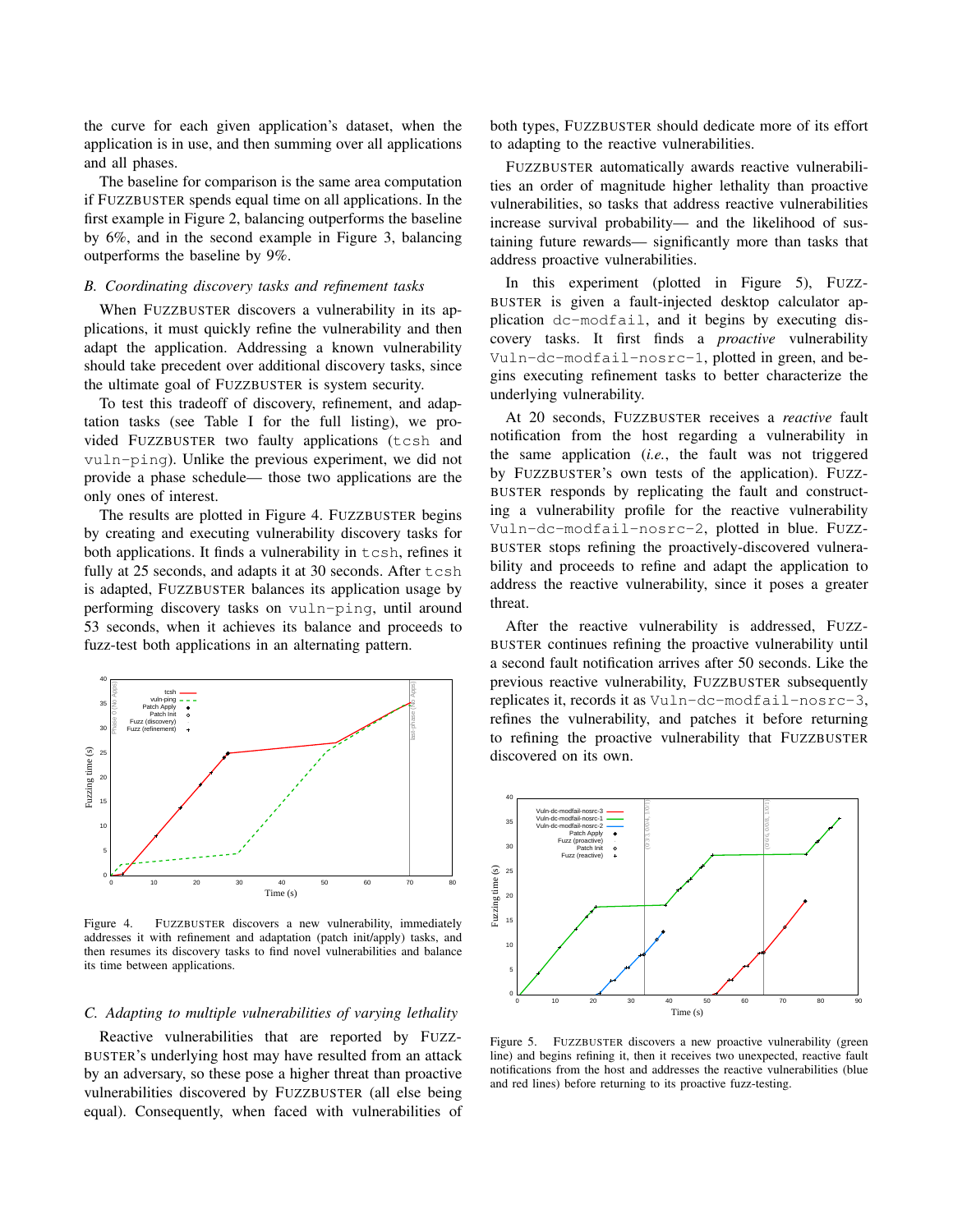the curve for each given application's dataset, when the application is in use, and then summing over all applications and all phases.

The baseline for comparison is the same area computation if FUZZBUSTER spends equal time on all applications. In the first example in Figure 2, balancing outperforms the baseline by 6%, and in the second example in Figure 3, balancing outperforms the baseline by 9%.

## *B. Coordinating discovery tasks and refinement tasks*

When FUZZBUSTER discovers a vulnerability in its applications, it must quickly refine the vulnerability and then adapt the application. Addressing a known vulnerability should take precedent over additional discovery tasks, since the ultimate goal of FUZZBUSTER is system security.

To test this tradeoff of discovery, refinement, and adaptation tasks (see Table I for the full listing), we provided FUZZBUSTER two faulty applications (tcsh and vuln-ping). Unlike the previous experiment, we did not provide a phase schedule— those two applications are the only ones of interest.

The results are plotted in Figure 4. FUZZBUSTER begins by creating and executing vulnerability discovery tasks for both applications. It finds a vulnerability in tcsh, refines it fully at  $25$  seconds, and adapts it at  $30$  seconds. After  $t \cosh$ is adapted, FUZZBUSTER balances its application usage by performing discovery tasks on vuln-ping, until around 53 seconds, when it achieves its balance and proceeds to fuzz-test both applications in an alternating pattern.



Figure 4. FUZZBUSTER discovers a new vulnerability, immediately addresses it with refinement and adaptation (patch init/apply) tasks, and then resumes its discovery tasks to find novel vulnerabilities and balance its time between applications.

#### *C. Adapting to multiple vulnerabilities of varying lethality*

Reactive vulnerabilities that are reported by FUZZ-BUSTER's underlying host may have resulted from an attack by an adversary, so these pose a higher threat than proactive vulnerabilities discovered by FUZZBUSTER (all else being equal). Consequently, when faced with vulnerabilities of both types, FUZZBUSTER should dedicate more of its effort to adapting to the reactive vulnerabilities.

FUZZBUSTER automatically awards reactive vulnerabilities an order of magnitude higher lethality than proactive vulnerabilities, so tasks that address reactive vulnerabilities increase survival probability— and the likelihood of sustaining future rewards— significantly more than tasks that address proactive vulnerabilities.

In this experiment (plotted in Figure 5), FUZZ-BUSTER is given a fault-injected desktop calculator application dc-modfail, and it begins by executing discovery tasks. It first finds a *proactive* vulnerability Vuln-dc-modfail-nosrc-1, plotted in green, and begins executing refinement tasks to better characterize the underlying vulnerability.

At 20 seconds, FUZZBUSTER receives a *reactive* fault notification from the host regarding a vulnerability in the same application (*i.e.*, the fault was not triggered by FUZZBUSTER's own tests of the application). FUZZ-BUSTER responds by replicating the fault and constructing a vulnerability profile for the reactive vulnerability Vuln-dc-modfail-nosrc-2, plotted in blue. FUZZ-BUSTER stops refining the proactively-discovered vulnerability and proceeds to refine and adapt the application to address the reactive vulnerability, since it poses a greater threat.

After the reactive vulnerability is addressed, FUZZ-BUSTER continues refining the proactive vulnerability until a second fault notification arrives after 50 seconds. Like the previous reactive vulnerability, FUZZBUSTER subsequently replicates it, records it as Vuln-dc-modfail-nosrc-3, refines the vulnerability, and patches it before returning to refining the proactive vulnerability that FUZZBUSTER discovered on its own.



Figure 5. FUZZBUSTER discovers a new proactive vulnerability (green line) and begins refining it, then it receives two unexpected, reactive fault notifications from the host and addresses the reactive vulnerabilities (blue and red lines) before returning to its proactive fuzz-testing.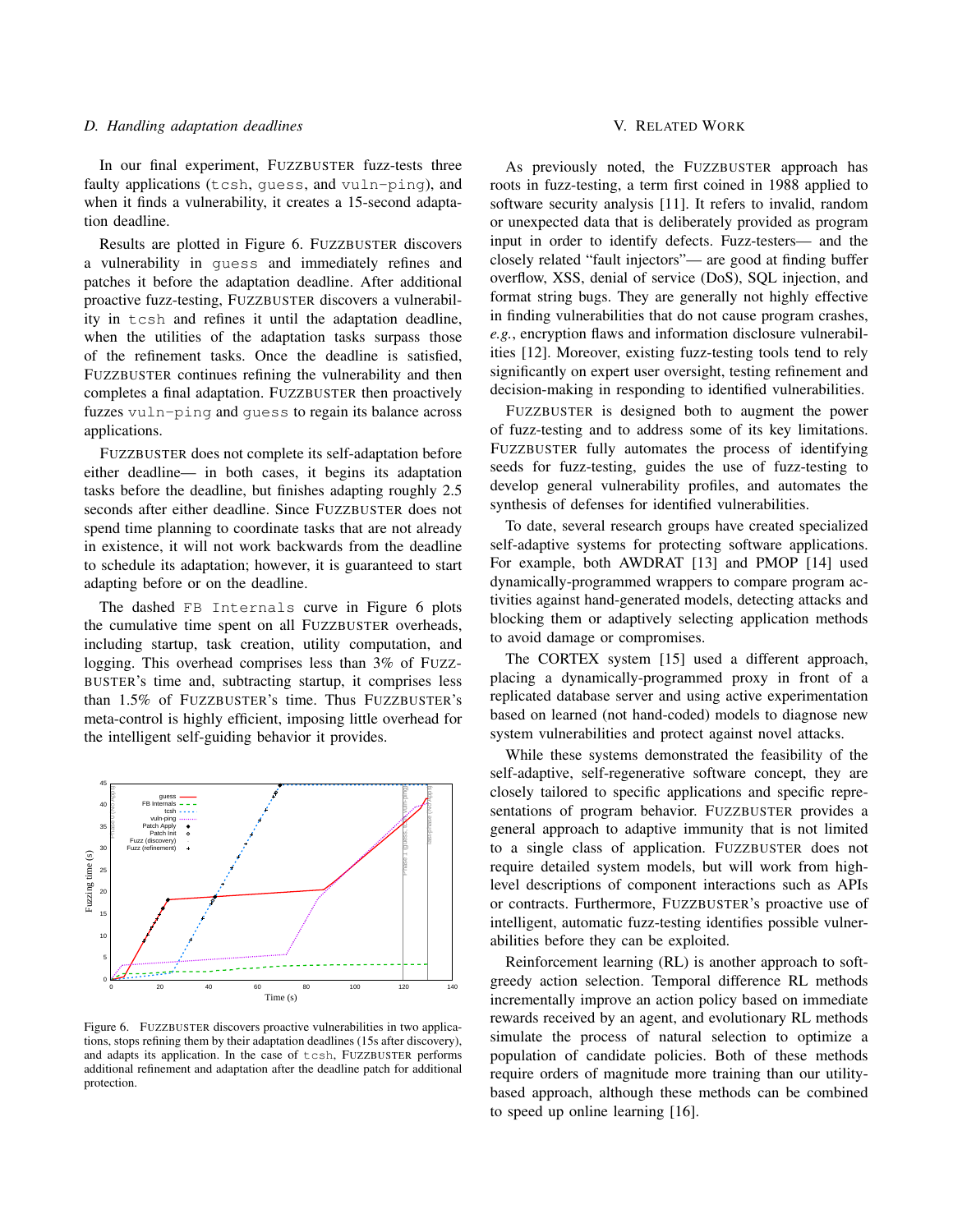### *D. Handling adaptation deadlines*

In our final experiment, FUZZBUSTER fuzz-tests three faulty applications (tcsh, guess, and vuln-ping), and when it finds a vulnerability, it creates a 15-second adaptation deadline.

Results are plotted in Figure 6. FUZZBUSTER discovers a vulnerability in guess and immediately refines and patches it before the adaptation deadline. After additional proactive fuzz-testing, FUZZBUSTER discovers a vulnerability in tcsh and refines it until the adaptation deadline, when the utilities of the adaptation tasks surpass those of the refinement tasks. Once the deadline is satisfied, FUZZBUSTER continues refining the vulnerability and then completes a final adaptation. FUZZBUSTER then proactively fuzzes vuln-ping and guess to regain its balance across applications.

FUZZBUSTER does not complete its self-adaptation before either deadline— in both cases, it begins its adaptation tasks before the deadline, but finishes adapting roughly 2.5 seconds after either deadline. Since FUZZBUSTER does not spend time planning to coordinate tasks that are not already in existence, it will not work backwards from the deadline to schedule its adaptation; however, it is guaranteed to start adapting before or on the deadline.

The dashed FB Internals curve in Figure 6 plots the cumulative time spent on all FUZZBUSTER overheads, including startup, task creation, utility computation, and logging. This overhead comprises less than 3% of FUZZ-BUSTER's time and, subtracting startup, it comprises less than 1.5% of FUZZBUSTER's time. Thus FUZZBUSTER's meta-control is highly efficient, imposing little overhead for the intelligent self-guiding behavior it provides.



Figure 6. FUZZBUSTER discovers proactive vulnerabilities in two applications, stops refining them by their adaptation deadlines (15s after discovery), and adapts its application. In the case of tcsh, FUZZBUSTER performs additional refinement and adaptation after the deadline patch for additional protection.

## V. RELATED WORK

As previously noted, the FUZZBUSTER approach has roots in fuzz-testing, a term first coined in 1988 applied to software security analysis [11]. It refers to invalid, random or unexpected data that is deliberately provided as program input in order to identify defects. Fuzz-testers— and the closely related "fault injectors"— are good at finding buffer overflow, XSS, denial of service (DoS), SQL injection, and format string bugs. They are generally not highly effective in finding vulnerabilities that do not cause program crashes, *e.g.*, encryption flaws and information disclosure vulnerabilities [12]. Moreover, existing fuzz-testing tools tend to rely significantly on expert user oversight, testing refinement and decision-making in responding to identified vulnerabilities.

FUZZBUSTER is designed both to augment the power of fuzz-testing and to address some of its key limitations. FUZZBUSTER fully automates the process of identifying seeds for fuzz-testing, guides the use of fuzz-testing to develop general vulnerability profiles, and automates the synthesis of defenses for identified vulnerabilities.

To date, several research groups have created specialized self-adaptive systems for protecting software applications. For example, both AWDRAT [13] and PMOP [14] used dynamically-programmed wrappers to compare program activities against hand-generated models, detecting attacks and blocking them or adaptively selecting application methods to avoid damage or compromises.

The CORTEX system [15] used a different approach, placing a dynamically-programmed proxy in front of a replicated database server and using active experimentation based on learned (not hand-coded) models to diagnose new system vulnerabilities and protect against novel attacks.

While these systems demonstrated the feasibility of the self-adaptive, self-regenerative software concept, they are closely tailored to specific applications and specific representations of program behavior. FUZZBUSTER provides a general approach to adaptive immunity that is not limited to a single class of application. FUZZBUSTER does not require detailed system models, but will work from highlevel descriptions of component interactions such as APIs or contracts. Furthermore, FUZZBUSTER's proactive use of intelligent, automatic fuzz-testing identifies possible vulnerabilities before they can be exploited.

Reinforcement learning (RL) is another approach to softgreedy action selection. Temporal difference RL methods incrementally improve an action policy based on immediate rewards received by an agent, and evolutionary RL methods simulate the process of natural selection to optimize a population of candidate policies. Both of these methods require orders of magnitude more training than our utilitybased approach, although these methods can be combined to speed up online learning [16].